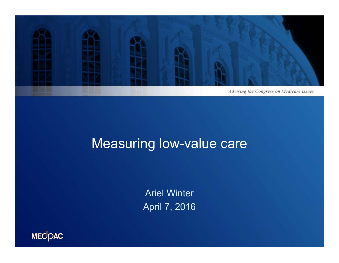

### Measuring low-value care

Ariel Winter April 7, 2016

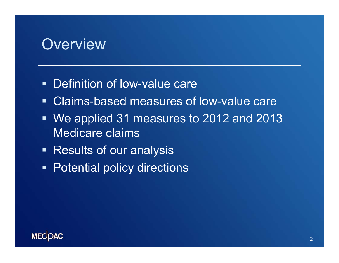#### **Overview**

- **Definition of low-value care**
- Claims-based measures of low-value care
- We applied 31 measures to 2012 and 2013 Medicare claims
- **Results of our analysis**
- **Potential policy directions**

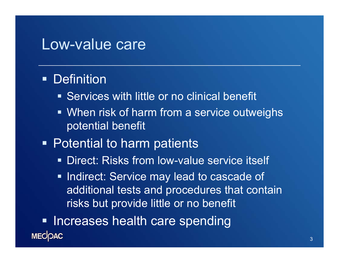#### Low-value care

#### **• Definition**

- **Services with little or no clinical benefit**
- **When risk of harm from a service outweighs** potential benefit

#### **• Potential to harm patients**

- **Direct: Risks from low-value service itself**
- **Indirect: Service may lead to cascade of** additional tests and procedures that contain risks but provide little or no benefit

**- Increases health care spending MECOAC**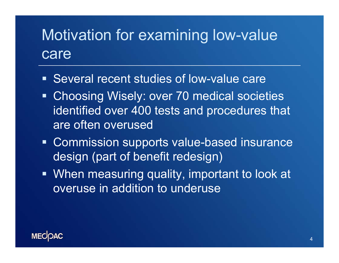# Motivation for examining low-value care

- **Several recent studies of low-value care**
- **Choosing Wisely: over 70 medical societies** identified over 400 tests and procedures that are often overused
- **Commission supports value-based insurance** design (part of benefit redesign)
- When measuring quality, important to look at overuse in addition to underuse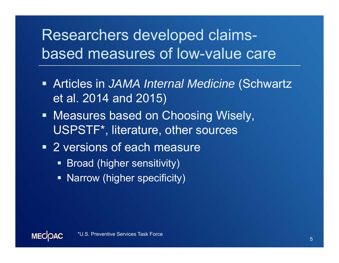# Researchers developed claimsbased measures of low-value care

- Articles in *JAMA Internal Medicine* (Schwartz et al. 2014 and 2015)
- **Measures based on Choosing Wisely,** USPSTF\*, literature, other sources
- **2** versions of each measure
	- **Broad (higher sensitivity)**
	- **Narrow (higher specificity)**

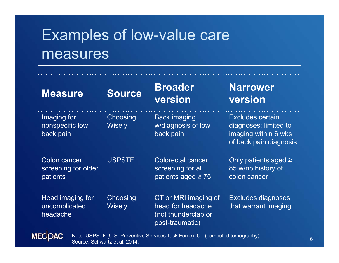# Examples of low-value care measures

| <b>Measure</b>                                  | <b>Source</b>             | <b>Broader</b><br>version                                                           | <b>Narrower</b><br>version                                                                  |
|-------------------------------------------------|---------------------------|-------------------------------------------------------------------------------------|---------------------------------------------------------------------------------------------|
| Imaging for<br>nonspecific low<br>back pain     | Choosing<br><b>Wisely</b> | <b>Back imaging</b><br>w/diagnosis of low<br>back pain                              | Excludes certain<br>diagnoses; limited to<br>imaging within 6 wks<br>of back pain diagnosis |
| Colon cancer<br>screening for older<br>patients | <b>USPSTF</b>             | <b>Colorectal cancer</b><br>screening for all<br>patients aged $\geq 75$            | Only patients aged $\ge$<br>85 w/no history of<br>colon cancer                              |
| Head imaging for<br>uncomplicated<br>headache   | Choosing<br><b>Wisely</b> | CT or MRI imaging of<br>head for headache<br>(not thunderclap or<br>post-traumatic) | Excludes diagnoses<br>that warrant imaging                                                  |

**MECOAC** 

Note: USPSTF (U.S. Preventive Services Task Force), CT (computed tomography).<br>Source: Schwartz et al. 2014.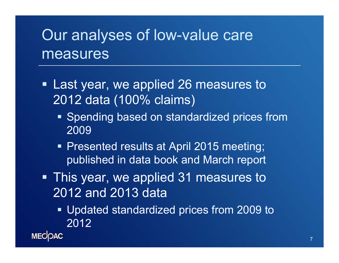## Our analyses of low-value care measures

- **Example 1 Last year, we applied 26 measures to a** 2012 data (100% claims)
	- **Spending based on standardized prices from** 2009
	- **Presented results at April 2015 meeting;** published in data book and March report
- **This year, we applied 31 measures to** 2012 and 2013 data
	- Updated standardized prices from 2009 to 2012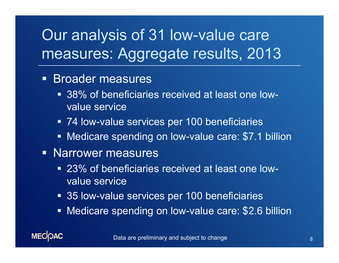# Our analysis of 31 low-value care measures: Aggregate results, 2013

#### **Broader measures**

- 38% of beneficiaries received at least one lowvalue service
- **74 low-value services per 100 beneficiaries**
- **Nedicare spending on low-value care: \$7.1 billion**

#### **Narrower measures**

- 23% of beneficiaries received at least one lowvalue service
- **35 low-value services per 100 beneficiaries**
- **Nedicare spending on low-value care: \$2.6 billion**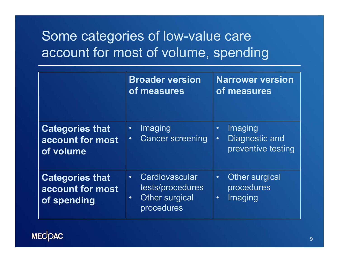### Some categories of low-value care account for most of volume, spending

|                                                           | <b>Broader version</b><br>of measures                                                               | <b>Narrower version</b><br>of measures                                    |
|-----------------------------------------------------------|-----------------------------------------------------------------------------------------------------|---------------------------------------------------------------------------|
| <b>Categories that</b><br>account for most<br>of volume   | Imaging<br>$\bullet$<br><b>Cancer screening</b><br>$\bullet$                                        | Imaging<br>$\bullet$<br>Diagnostic and<br>$\bullet$<br>preventive testing |
| <b>Categories that</b><br>account for most<br>of spending | Cardiovascular<br>$\bullet$<br>tests/procedures<br><b>Other surgical</b><br>$\bullet$<br>procedures | Other surgical<br>$\bullet$<br>procedures<br>Imaging<br>$\bullet$         |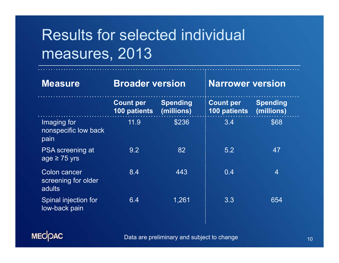# Results for selected individual measures, 2013

| <b>Measure</b>                                | <b>Broader version</b>           |                               | <b>Narrower version</b>          |                               |
|-----------------------------------------------|----------------------------------|-------------------------------|----------------------------------|-------------------------------|
|                                               | <b>Count per</b><br>100 patients | <b>Spending</b><br>(millions) | <b>Count per</b><br>100 patients | <b>Spending</b><br>(millions) |
| Imaging for<br>nonspecific low back<br>pain   | 11.9                             | \$236                         | 3.4                              | \$68                          |
| <b>PSA</b> screening at<br>age $\geq$ 75 yrs  | 9.2                              | 82                            | 5.2                              | 47                            |
| Colon cancer<br>screening for older<br>adults | 8.4                              | 443                           | 0.4                              | 4                             |
| Spinal injection for<br>low-back pain         | 6.4                              | 1,261                         | 3.3                              | 654                           |



Data are preliminary and subject to change 10 and 10 and 10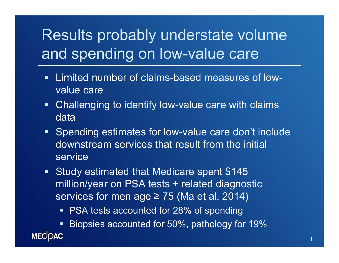# Results probably understate volume and spending on low-value care

- $\blacksquare$  Limited number of claims-based measures of lowvalue care
- $\blacksquare$  Challenging to identify low-value care with claims data
- **Spending estimates for low-value care don't include** downstream services that result from the initial service
- **Study estimated that Medicare spent \$145** million/year on PSA tests + related diagnostic services for men age  $\geq$  75 (Ma et al. 2014)
	- **PSA tests accounted for 28% of spending**

 Biopsies accounted for 50%, pathology for 19% **MECOAC**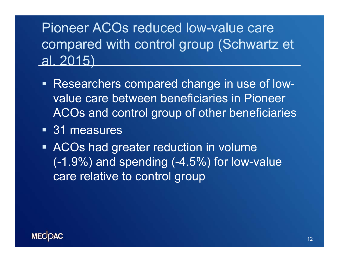### Pioneer ACOs reduced low-value care compared with control group (Schwartz et al. 2015)

- Researchers compared change in use of lowvalue care between beneficiaries in Pioneer ACOs and control group of other beneficiaries
- 31 measures
- **ACOs had greater reduction in volume**  $(-1.9%)$  and spending  $(-4.5%)$  for low-value care relative to control group